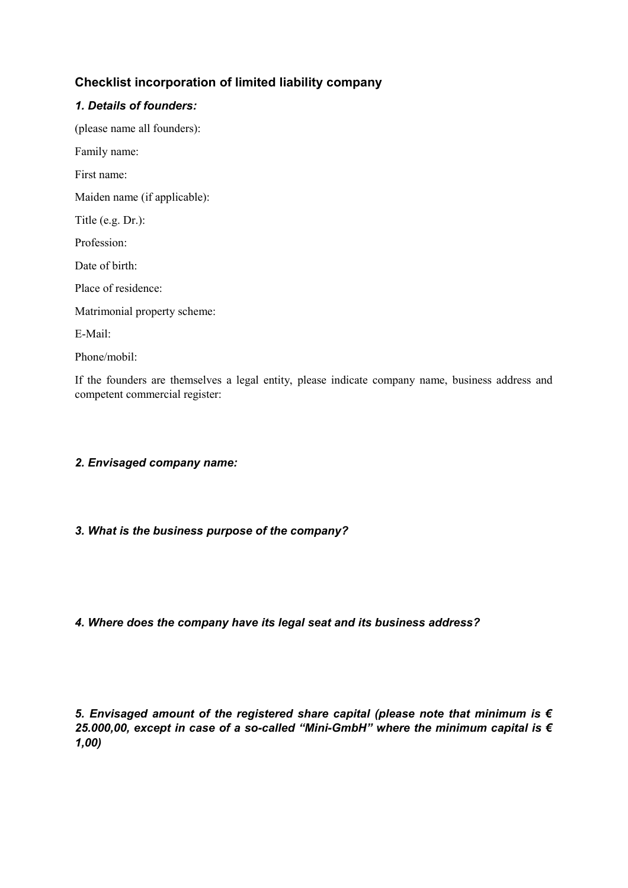# **Checklist incorporation of limited liability company**

### *1. Details of founders:*

(please name all founders): Family name: First name: Maiden name (if applicable): Title (e.g. Dr.): Profession: Date of birth: Place of residence: Matrimonial property scheme: E-Mail: Phone/mobil:

If the founders are themselves a legal entity, please indicate company name, business address and competent commercial register:

## *2. Envisaged company name:*

### *3. What is the business purpose of the company?*

*4. Where does the company have its legal seat and its business address?*

*5. Envisaged amount of the registered share capital (please note that minimum is € 25.000,00, except in case of a so-called "Mini-GmbH" where the minimum capital is € 1,00)*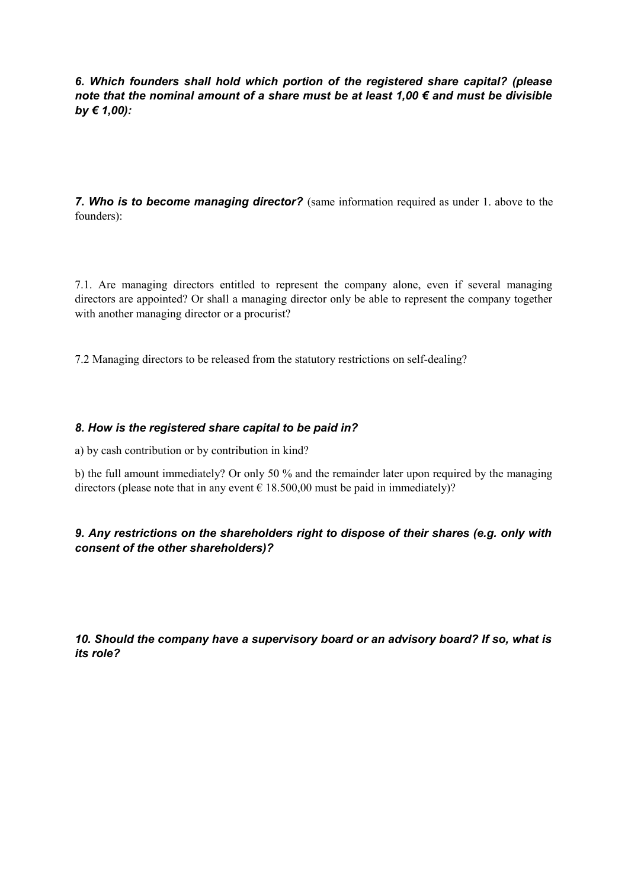*6. Which founders shall hold which portion of the registered share capital? (please note that the nominal amount of a share must be at least 1,00 € and must be divisible by € 1,00):*

*7. Who is to become managing director?* (same information required as under 1. above to the founders):

7.1. Are managing directors entitled to represent the company alone, even if several managing directors are appointed? Or shall a managing director only be able to represent the company together with another managing director or a procurist?

7.2 Managing directors to be released from the statutory restrictions on self-dealing?

### *8. How is the registered share capital to be paid in?*

a) by cash contribution or by contribution in kind?

b) the full amount immediately? Or only 50 % and the remainder later upon required by the managing directors (please note that in any event  $\epsilon$  18.500,00 must be paid in immediately)?

### *9. Any restrictions on the shareholders right to dispose of their shares (e.g. only with consent of the other shareholders)?*

*10. Should the company have a supervisory board or an advisory board? If so, what is its role?*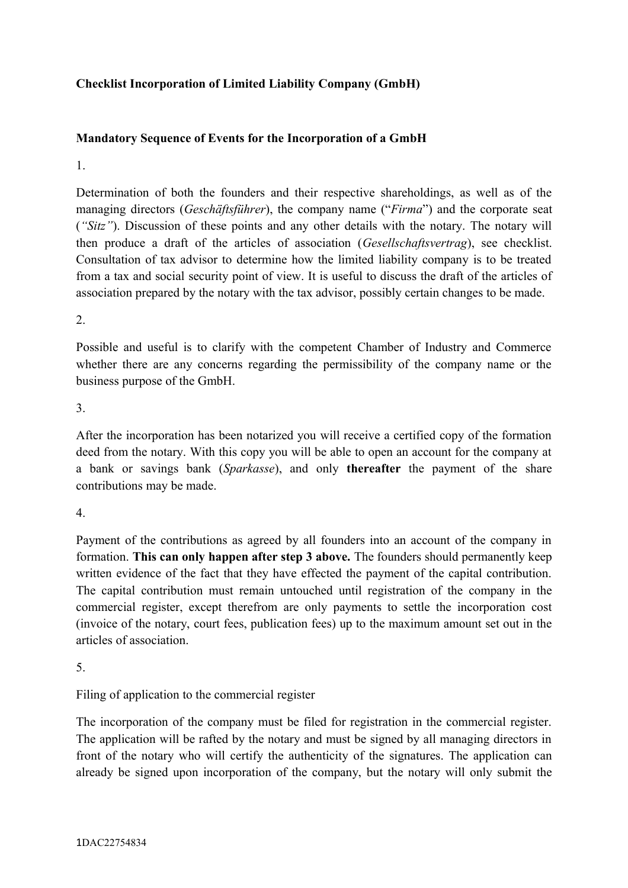# **Checklist Incorporation of Limited Liability Company (GmbH)**

## **Mandatory Sequence of Events for the Incorporation of a GmbH**

#### 1.

Determination of both the founders and their respective shareholdings, as well as of the managing directors (*Geschäftsführer*), the company name ("*Firma*") and the corporate seat (*"Sitz"*). Discussion of these points and any other details with the notary. The notary will then produce a draft of the articles of association (*Gesellschaftsvertrag*), see checklist. Consultation of tax advisor to determine how the limited liability company is to be treated from a tax and social security point of view. It is useful to discuss the draft of the articles of association prepared by the notary with the tax advisor, possibly certain changes to be made.

 $\mathcal{L}$ 

Possible and useful is to clarify with the competent Chamber of Industry and Commerce whether there are any concerns regarding the permissibility of the company name or the business purpose of the GmbH.

3.

After the incorporation has been notarized you will receive a certified copy of the formation deed from the notary. With this copy you will be able to open an account for the company at a bank or savings bank (*Sparkasse*), and only **thereafter** the payment of the share contributions may be made.

4.

Payment of the contributions as agreed by all founders into an account of the company in formation. **This can only happen after step 3 above.** The founders should permanently keep written evidence of the fact that they have effected the payment of the capital contribution. The capital contribution must remain untouched until registration of the company in the commercial register, except therefrom are only payments to settle the incorporation cost (invoice of the notary, court fees, publication fees) up to the maximum amount set out in the articles of association.

5.

Filing of application to the commercial register

The incorporation of the company must be filed for registration in the commercial register. The application will be rafted by the notary and must be signed by all managing directors in front of the notary who will certify the authenticity of the signatures. The application can already be signed upon incorporation of the company, but the notary will only submit the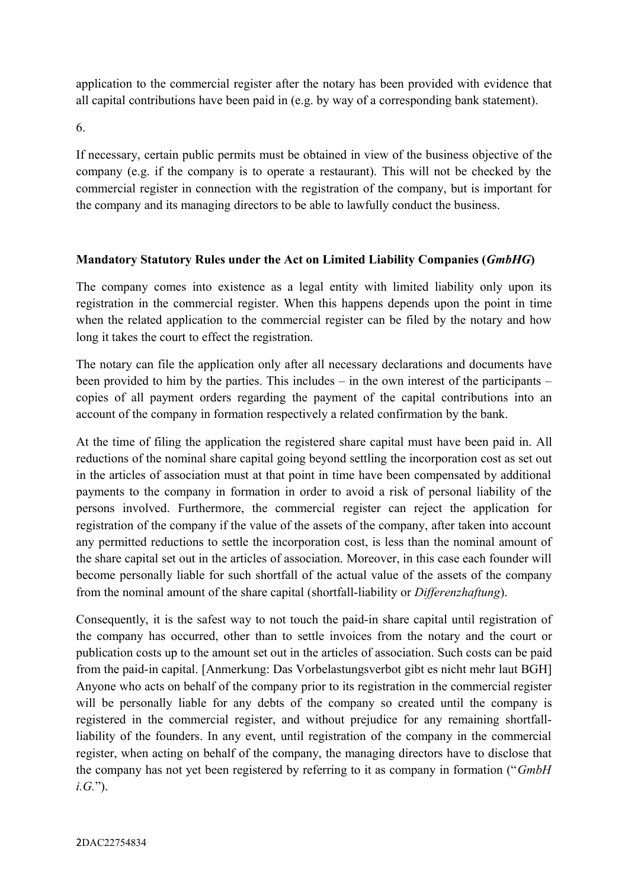application to the commercial register after the notary has been provided with evidence that all capital contributions have been paid in (e.g. by way of a corresponding bank statement).

6.

If necessary, certain public permits must be obtained in view of the business objective of the company (e.g. if the company is to operate a restaurant). This will not be checked by the commercial register in connection with the registration of the company, but is important for the company and its managing directors to be able to lawfully conduct the business.

# **Mandatory Statutory Rules under the Act on Limited Liability Companies (***GmbHG***)**

The company comes into existence as a legal entity with limited liability only upon its registration in the commercial register. When this happens depends upon the point in time when the related application to the commercial register can be filed by the notary and how long it takes the court to effect the registration.

The notary can file the application only after all necessary declarations and documents have been provided to him by the parties. This includes – in the own interest of the participants – copies of all payment orders regarding the payment of the capital contributions into an account of the company in formation respectively a related confirmation by the bank.

At the time of filing the application the registered share capital must have been paid in. All reductions of the nominal share capital going beyond settling the incorporation cost as set out in the articles of association must at that point in time have been compensated by additional payments to the company in formation in order to avoid a risk of personal liability of the persons involved. Furthermore, the commercial register can reject the application for registration of the company if the value of the assets of the company, after taken into account any permitted reductions to settle the incorporation cost, is less than the nominal amount of the share capital set out in the articles of association. Moreover, in this case each founder will become personally liable for such shortfall of the actual value of the assets of the company from the nominal amount of the share capital (shortfall-liability or *Differenzhaftung*).

Consequently, it is the safest way to not touch the paid-in share capital until registration of the company has occurred, other than to settle invoices from the notary and the court or publication costs up to the amount set out in the articles of association. Such costs can be paid from the paid-in capital. [Anmerkung: Das Vorbelastungsverbot gibt es nicht mehr laut BGH] Anyone who acts on behalf of the company prior to its registration in the commercial register will be personally liable for any debts of the company so created until the company is registered in the commercial register, and without prejudice for any remaining shortfallliability of the founders. In any event, until registration of the company in the commercial register, when acting on behalf of the company, the managing directors have to disclose that the company has not yet been registered by referring to it as company in formation ("*GmbH i.G.*").